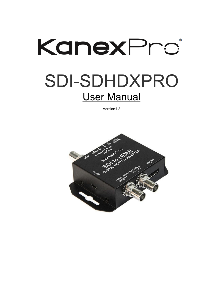

Version1.2

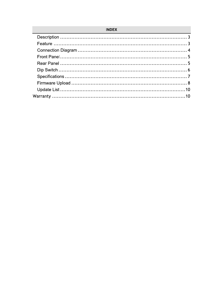### **INDEX**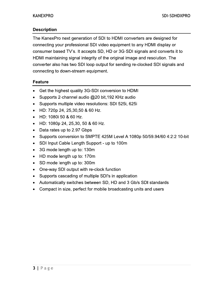# **Description**

The KanexPro next generation of SDI to HDMI converters are designed for connecting your professional SDI video equipment to any HDMI display or consumer based TV's. It accepts SD, HD or 3G-SDI signals and converts it to HDMI maintaining signal integrity of the original image and resolution. The converter also has two SDI loop output for sending re-clocked SDI signals and connecting to down-stream equipment.

# **Feature**

- Get the highest quality 3G-SDI conversion to HDMI
- Supports 2-channel audio @20 bit, 192 KHz audio  $\bullet$
- Supports multiple video resolutions: SDI 525i, 625i  $\bullet$
- HD: 720p 24, 25,30,50 & 60 Hz.
- HD: 1080i 50 & 60 Hz.
- HD: 1080p 24, 25,30, 50 & 60 Hz.
- Data rates up to 2.97 Gbps  $\bullet$
- Supports conversion to SMPTE 425M Level A 1080p 50/59.94/60 4:2:2 10-bit
- SDI Input Cable Length Support up to 100m
- 3G mode length up to: 130m
- HD mode length up to: 170m
- SD mode length up to: 300m
- One-way SDI output with re-clock function
- Supports cascading of multiple SDI's in application
- Automatically switches between SD, HD and 3 Gb/s SDI standards
- Compact in size, perfect for mobile broadcasting units and users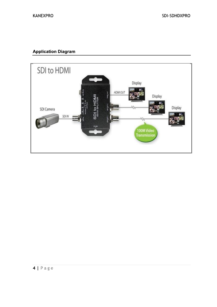# **Application Diagram**

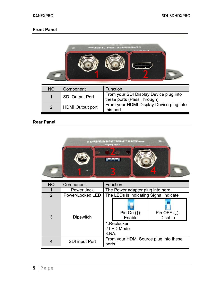# **Front Panel**



| <b>NO</b>     | Component               | Function                                                             |
|---------------|-------------------------|----------------------------------------------------------------------|
|               | <b>SDI Output Port</b>  | From your SDI Display Device plug into<br>these ports (Pass Through) |
| $\mathcal{P}$ | <b>HDMI</b> Output port | From your HDMI Display Device plug into<br>this port.                |

# **Rear Panel**

| <b>NO</b>      | Component             | Function                                                      |
|----------------|-----------------------|---------------------------------------------------------------|
|                | Power Jack            | The Power adapter plug into here.                             |
| $\overline{2}$ | Power/Locked LED      | The LEDs is indicating Signal indicate                        |
| 3              | <b>Dipswitch</b>      | Pin On $(†)$ :<br>Pin OFF $(1)$ :<br>Enable<br><b>Disable</b> |
|                |                       | 1.Reclocker<br>2.LED Mode<br>3.NA.                            |
| 4              | <b>SDI input Port</b> | From your HDMI Source plug into these<br>ports                |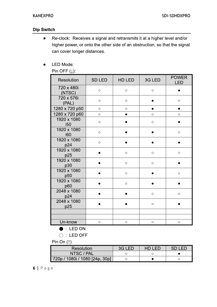### **Dip Switch**

- Re-clock: Receives a signal and retransmits it at a higher level and/or  $\bullet$ higher power, or onto the other side of an obstruction, so that the signal can cover longer distances.
- LED Mode:  $\bullet$

Pin OFF  $(1)$ :

| Resolution           | <b>SD LED</b> | HD LED     | 3G LED     | <b>POWER</b><br><b>LED</b> |
|----------------------|---------------|------------|------------|----------------------------|
| 720 x 480i<br>(NTSC) | $\circ$       | $\circ$    | $\circ$    |                            |
| 720 x 576i<br>(PAL)  | $\circ$       | $\circ$    |            | $\bigcirc$                 |
| 1280 x 720 p50       | $\circ$       | $\circ$    | $\bullet$  | $\bullet$                  |
| 1280 x 720 p60       | $\bigcirc$    |            | $\circ$    | $\circ$                    |
| 1920 x 1080<br>i50   | $\circ$       |            | $\circ$    |                            |
| 1920 x 1080<br>i60   | $\circ$       |            |            | $\circ$                    |
| 1920 x 1080<br>p24   | $\circ$       |            |            |                            |
| 1920 x 1080<br>p25   |               | $\circ$    | $\circ$    | $\bigcirc$                 |
| 1920 x 1080<br>p30   |               | $\bigcirc$ | $\circ$    |                            |
| 1920 x 1080<br>p50   |               | $\circ$    |            | $\circ$                    |
| 1920 x 1080<br>p60   |               | $\bigcirc$ |            |                            |
| 2048 x 1080<br>p24   |               |            | $\circ$    | $\circ$                    |
| 2048 x 1080<br>p25   |               |            | $\bigcirc$ |                            |
|                      |               |            |            |                            |
|                      |               |            |            |                            |
| Un-know              | $\circ$       | $\circ$    | $\circ$    | $\bigcirc$                 |

 $\bullet$  : LED ON

 $\bigcirc$  : LED OFF

Pin On  $(1)$ 

| <b>Resolution</b>              | 3G LED | HD LED | SD LED |
|--------------------------------|--------|--------|--------|
| NTSC / PAL                     |        |        |        |
| 720p / 1080i / 1080 [24p, 30p] |        |        |        |

 $6|Page$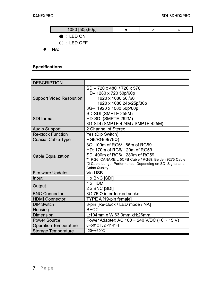| 1080 [50p,60p]       |  |  |
|----------------------|--|--|
| $\bullet$ : LED ON   |  |  |
| $\bigcirc$ : LED OFF |  |  |
| NA ·                 |  |  |

# **Specifications**

 $\bullet$ 

| <b>DESCRIPTION</b>              |                                                                                                                                                                                                                                             |
|---------------------------------|---------------------------------------------------------------------------------------------------------------------------------------------------------------------------------------------------------------------------------------------|
| <b>Support Video Resolution</b> | SD - 720 x 480i / 720 x 576i<br>HD-1280 x 720 50p/60p<br>1920 x 1080 50i/60i<br>1920 x 1080 24p/25p/30p                                                                                                                                     |
|                                 | 3G- 1920 x 1080 50p/60p                                                                                                                                                                                                                     |
| <b>SDI</b> format               | SD-SDI (SMPTE 259M)<br>HD-SDI (SMPTE 292M)<br>3G-SDI (SMPTE 424M / SMPTE 425M)                                                                                                                                                              |
| <b>Audio Support</b>            | 2 Channel of Stereo                                                                                                                                                                                                                         |
| <b>Re-clock Function</b>        | Yes (Dip Switch)                                                                                                                                                                                                                            |
| <b>Coaxial Cable Type</b>       | $RG6/RG59(75\Omega)$                                                                                                                                                                                                                        |
| <b>Cable Equalization</b>       | 3G: 100m of RG6/ 86m of RG59<br>HD: 170m of RG6/ 120m of RG59<br>SD: 400m of RG6/ 280m of RG59<br>*1 RG6: CANARE L-5CFB Cable / RG59: Belden 9275 Cable<br>*2 Cable Length Performance: Depending on SDI Signal and<br><b>Cable Quality</b> |
| <b>Firmware Updates</b>         | Via USB                                                                                                                                                                                                                                     |
| Input                           | 1 x BNC [SDI]                                                                                                                                                                                                                               |
| Output                          | $1 \times$ HDMI<br>2 x BNC [SDI]                                                                                                                                                                                                            |
| <b>BNC Connector</b>            | 3G 75 $\Omega$ inter-locked socket                                                                                                                                                                                                          |
| <b>HDMI Connector</b>           | TYPE A [19-pin female]                                                                                                                                                                                                                      |
| <b>DIP Switch</b>               | 3-pin [Re-clock / LED mode / NA]                                                                                                                                                                                                            |
| Housing                         | <b>SECC</b>                                                                                                                                                                                                                                 |
| <b>Dimension</b>                | L:104mm x W:63.3mm xH:26mm                                                                                                                                                                                                                  |
| <b>Power Source</b>             | Power Adapter: AC 100 ~ 240 V/DC (+6 ~ 15 V)                                                                                                                                                                                                |
| <b>Operation Temperature</b>    | 0~50°C [32~114°F]                                                                                                                                                                                                                           |
| <b>Storage Temperature</b>      | $-20$ ~+60°C                                                                                                                                                                                                                                |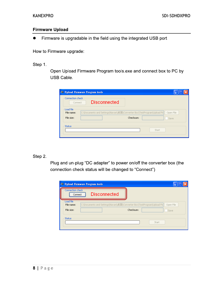Eirmware Upload<br>
■ Firmware is upgradable in the field using the integrated USB port<br>
How to Firmware upgrade:<br>
Step 1.<br>
Open Upload Firmware Program tools.exe and connect box to<br>
USB Cable. Eirmware Upload<br>
Tirmware is upgradable in the<br>
How to Firmware upgrade:<br>
Step 1.<br>
Open Upload Firmware PluSB Cable.

| Fırmware Upload              |                                                                                                                                                                                                                                    |
|------------------------------|------------------------------------------------------------------------------------------------------------------------------------------------------------------------------------------------------------------------------------|
| $\bullet$                    | Firmware is upgradable in the field using the integrated USB port                                                                                                                                                                  |
| How to Firmware upgrade:     |                                                                                                                                                                                                                                    |
| Step 1.<br><b>USB Cable.</b> | Open Upload Firmware Program tools.exe and connect box to PC by<br><b>Jpload Firmware Program tools</b>                                                                                                                            |
|                              | Connection check<br><b>Disconnected</b><br>Connect<br>Load file<br>C:\Documents and Settings\Navan\点面\Converter Box\TestProgram\Upload Fir<br>Open File<br>File name:<br>Checksum:<br>File size:<br>Save<br><b>Status</b><br>Start |

|         | <b>Status</b>                                 |                                                                                                                               |           | Start |                   |  |
|---------|-----------------------------------------------|-------------------------------------------------------------------------------------------------------------------------------|-----------|-------|-------------------|--|
| Step 2. |                                               | Plug and un-plug "DC adapter" to power on/off the converter box (the<br>connection check status will be changed to "Connect") |           |       |                   |  |
|         | <i><b>J</b></i> Upload Firmware Program tools |                                                                                                                               |           |       |                   |  |
|         | Connection check<br>Connect<br>Load file      | <b>Disconnected</b>                                                                                                           |           |       |                   |  |
|         | File name:<br>File size:                      | C:\Documents and Settings\Navan\桌面\Converter Box\TestProgram\Upload Fir                                                       | Checksum: |       | Open File<br>Save |  |
|         | <b>Status</b>                                 |                                                                                                                               |           | Start |                   |  |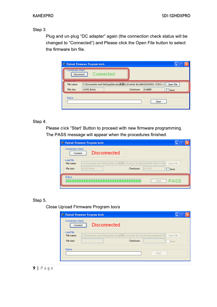Step 3.

Plug and un-plug "DC adapter" again (the connection check status will be changed to "Connected") and Please click the Open File button to select the firmware bin file.

|                                       | <b>Upload Firmware Program tools</b> |                                                                                                                      |
|---------------------------------------|--------------------------------------|----------------------------------------------------------------------------------------------------------------------|
| <b>Connection check</b><br>Disconnect |                                      | Connected                                                                                                            |
| File name:<br>File size:              | 14292 Bytes                          | C:\Documents and Settings\Navan\桌面\Converter Box\Bin\SDI2HD\1.7(2011.1)<br>Open File<br>Checksum:<br>0x6BB8<br> Save |
| <b>Status</b>                         |                                      | Start                                                                                                                |

### Step 4.

Please click "Start' Button to proceed with new firmware programming. The PASS message will appear when the procedures finished.

|                                       | <b>Journal Firmware Program tools</b> |                                                                                                                           |
|---------------------------------------|---------------------------------------|---------------------------------------------------------------------------------------------------------------------------|
| Connection check<br>Connect           |                                       | <b>Disconnected</b>                                                                                                       |
| Load file<br>File name:<br>File size: | 62520 Bytes                           | C:\Documents and Settings\Navan\桌面\Converter Box\Bin\SDI2HD-S\BUTTON\<br>Open File<br>Checksum:<br>0x1AD2<br><b>□Save</b> |
| <b>Status</b>                         |                                       | ,,,,,,,,,,,,,,,,,,,,,,,,,,,,,,,,,,,<br><b>PASS</b><br>Sharh                                                               |

### Step 5.

Close Upload Firmware Program tools

| Connection check<br><br>Connect | <b>Disconnected</b>                                                                   |
|---------------------------------|---------------------------------------------------------------------------------------|
| Load file<br>File name:         | C:\Documents and Settings\Navan\桌面\Converter Box\TestProgram\Upload Fir <br>Open File |
| File size:                      | Checksum:<br>Save                                                                     |

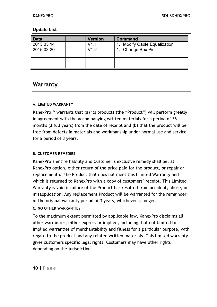### **Update List**

| <b>Data</b> | <b>Version</b> | <b>Command</b>               |
|-------------|----------------|------------------------------|
| 2013.03.14  | V1.1           | 1. Modify Cable Equalization |
| 2015.03.20  | V1.2           | 1. Change Box Pic            |
|             |                |                              |
|             |                |                              |
|             |                |                              |

# Warranty

# A. LIMITED WARRANTY

KanexPro ™ warrants that (a) its products (the "Product") will perform greatly in agreement with the accompanying written materials for a period of 36 months (3 full years) from the date of receipt and (b) that the product will be free from defects in materials and workmanship under normal use and service for a period of 3 years.

# **B. CUSTOMER REMEDIES**

KanexPro's entire liability and Customer's exclusive remedy shall be, at KanexPro option, either return of the price paid for the product, or repair or replacement of the Product that does not meet this Limited Warranty and which is returned to KanexPro with a copy of customers' receipt. This Limited Warranty is void if failure of the Product has resulted from accident, abuse, or misapplication. Any replacement Product will be warranted for the remainder of the original warranty period of 3 years, whichever is longer.

### **C. NO OTHER WARRANTIES**

To the maximum extent permitted by applicable law, KanexPro disclaims all other warranties, either express or implied, including, but not limited to implied warranties of merchantability and fitness for a particular purpose, with regard to the product and any related written materials. This limited warranty gives customers specific legal rights. Customers may have other rights depending on the jurisdiction.